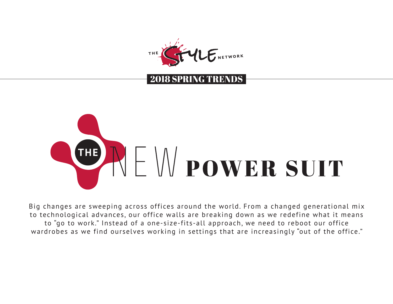



Big changes are sweeping across offices around the world. From a changed generational mix to technological advances, our office walls are breaking down as we redefine what it means to "go to work." Instead of a one-size-fits-all approach, we need to reboot our office wardrobes as we find ourselves working in settings that are increasingly "out of the office."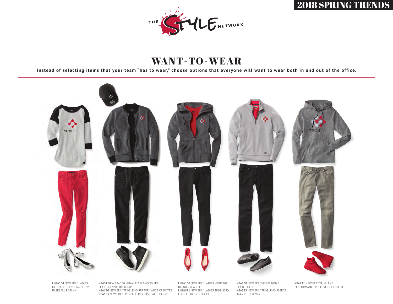

## WANT-TO-WEAR

**Instead of selecting items that your team "has to wear," choose options that everyone will want to wear both in and out of the office.**



**LNEA104** NEW ERA® LADIES HERITAGE BLEND 3/4-SLEEVE BASEBALL RAGLAN

**NE404** NEW ERA® ORIGINAL FIT DIAMOND ERA FLAT BILL SNAPBACK CAP **NEA130** NEW ERA® TRI-BLEND PERFORMANCE CREW TEE **NEA503** NEW ERA® FRENCH TERRY BASEBALL FULL-ZIP

**LNEA100** NEW ERA® LADIES HERITAGE BLEND CREW TEE **LNEA511** NEW ERA® LADIES TRI-BLEND FLEECE FULL-ZIP HOODIE

**NEA300** NEW ERA® VENUE HOME PLATE POLO **NEA512** NEW ERA® TRI-BLEND FLEECE 1/4-ZIP PULLOVER

**NEA131** NEW ERA® TRI-BLEND PERFORMANCE PULLOVER HOODIE TEE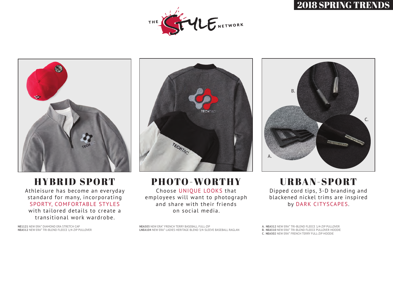



# HYBRID SPORT

Athleisure has become an everyday standard for many, incorporating SPORTY, COMFORTABLE STYLES with tailored details to create a transitional work wardrobe.

**NE1121** NEW ERA® DIAMOND ERA STRETCH CAP **NEA512** NEW ERA® TRI-BLEND FLEECE 1/4-ZIP PULLOVER



PHOTO-WORTHY Choose UNIQUE LOOKS that employees will want to photograph and share with their friends on social media.



URBAN-SPORT Dipped cord tips, 3-D branding and blackened nickel trims are inspired by DARK CITYSCAPES.

**NEA503** NEW ERA® FRENCH TERRY BASEBALL FULL-ZIP **LNEA104** NEW ERA® LADIES HERITAGE BLEND 3/4-SLEEVE BASEBALL RAGLAN

**A. NEA512** NEW ERA® TRI-BLEND FLEECE 1/4-ZIP PULLOVER **B. NEA510** NEW ERA® TRI-BLEND FLEECE PULLOVER HOODIE **C. NEA502** NEW ERA® FRENCH TERRY FULL-ZIP HOODIE